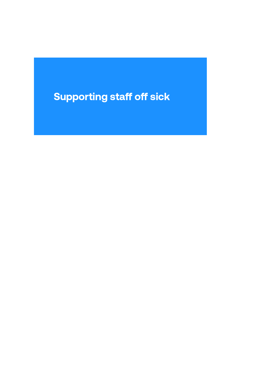# **Supporting staff off sick**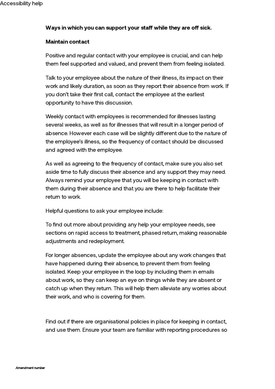## Ways in which you can support your staff while they are off sick.

#### Maintain contact

Positive and regular contact with your employee is crucial, and can help them feel supported and valued, and prevent them from feeling isolated.

Talk to your employee about the nature of their illness, its impact on their work and likely duration, as soon as they report their absence from work. If you don't take their first call, contact the employee at the earliest opportunity to have this discussion.

Weekly contact with employees is recommended for illnesses lasting several weeks, as well as for illnesses that will result in a longer period of absence. However each case will be slightly different due to the nature of the employee's illness, so the frequency of contact should be discussed and agreed with the employee.

As well as agreeing to the frequency of contact, make sure you also set aside time to fully discuss their absence and any support they may need. Always remind your employee that you will be keeping in contact with them during their absence and that you are there to help facilitate their return to work.

Helpful questions to ask your employee include:

To find out more about providing any help your employee needs, see sections on rapid access to treatment, phased return, making reasonable adjustments and redeployment.

For longer absences, update the employee about any work changes that have happened during their absence, to prevent them from feeling isolated. Keep your employee in the loop by including them in emails about work, so they can keep an eye on things while they are absent or catch up when they return. This will help them alleviate any worries about their work, and who is covering for them.

Find out if there are organisational policies in place for keeping in contact, and use them. Ensure your team are familiar with reporting procedures so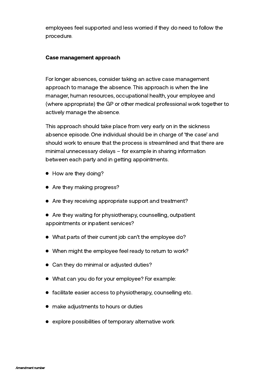employees feel supported and less worried if they do need to follow the procedure.

#### Case management approach

For longer absences, consider taking an active case management approach to manage the absence. This approach is when the line manager, human resources, occupational health, your employee and (where appropriate) the GP or other medical professional work together to actively manage the absence.

This approach should take place from very early on in the sickness absence episode. One individual should be in charge of 'the case' and should work to ensure that the process is streamlined and that there are minimal unnecessary delays – for example in sharing information between each party and in getting appointments.

- How are they doing?
- Are they making progress?
- Are they receiving appropriate support and treatment?
- Are they waiting for physiotherapy, counselling, outpatient appointments or inpatient services?
- What parts of their current job can't the employee do?
- When might the employee feel ready to return to work?
- Can they do minimal or adjusted duties?
- What can you do for your employee? For example:
- facilitate easier access to physiotherapy, counselling etc.
- make adjustments to hours or duties
- explore possibilities of temporary alternative work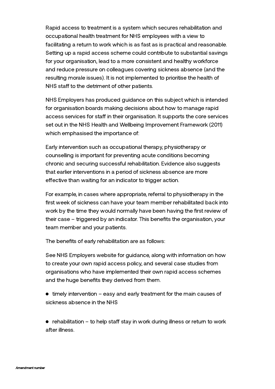Rapid access to treatment is a system which secures rehabilitation and occupational health treatment for NHS employees with a view to facilitating a return to work which is as fast as is practical and reasonable. Setting up a rapid access scheme could contribute to substantial savings for your organisation, lead to a more consistent and healthy workforce and reduce pressure on colleagues covering sickness absence (and the resulting morale issues). It is not implemented to prioritise the health of NHS staff to the detriment of other patients.

NHS Employers has produced guidance on this subject which is intended for organisation boards making decisions about how to manage rapid access services for staff in their organisation. It supports the core services set out in the NHS Health and Wellbeing Improvement Framework (2011) which emphasised the importance of:

Early intervention such as occupational therapy, physiotherapy or counselling is important for preventing acute conditions becoming chronic and securing successful rehabilitation. Evidence also suggests that earlier interventions in a period of sickness absence are more effective than waiting for an indicator to trigger action.

For example, in cases where appropriate, referral to physiotherapy in the first week of sickness can have your team member rehabilitated back into work by the time they would normally have been having the first review of their case – triggered by an indicator. This benefits the organisation, your team member and your patients.

The benefits of early rehabilitation are as follows:

See NHS Employers website for guidance, along with information on how to create your own rapid access policy, and several case studies from organisations who have implemented their own rapid access schemes and the huge benefits they derived from them.

 $\bullet$  timely intervention – easy and early treatment for the main causes of sickness absence in the NHS

 $\bullet$  rehabilitation – to help staff stay in work during illness or return to work after illness.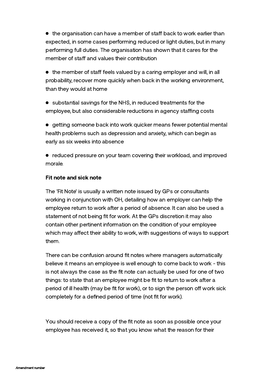$\bullet$  the organisation can have a member of staff back to work earlier than expected, in some cases performing reduced or light duties, but in many performing full duties. The organisation has shown that it cares for the member of staff and values their contribution

 $\bullet$  the member of staff feels valued by a caring employer and will, in all probability, recover more quickly when back in the working environment, than they would at home

substantial savings for the NHS, in reduced treatments for the employee, but also considerable reductions in agency staffing costs

getting someone back into work quicker means fewer potential mental health problems such as depression and anxiety, which can begin as early as six weeks into absence

reduced pressure on your team covering their workload, and improved morale.

## Fit note and sick note

The 'Fit Note' is usually a written note issued by GPs or consultants working in conjunction with OH, detailing how an employer can help the employee return to work after a period of absence. It can also be used a statement of not being fit for work. At the GPs discretion it may also contain other pertinent information on the condition of your employee which may affect their ability to work, with suggestions of ways to support them.

There can be confusion around fit notes where managers automatically believe it means an employee is well enough to come back to work - this is not always the case as the fit note can actually be used for one of two things: to state that an employee might be fit to return to work after a period of ill health (may be fit for work), or to sign the person off work sick completely for a defined period of time (not fit for work).

You should receive a copy of the fit note as soon as possible once your employee has received it, so that you know what the reason for their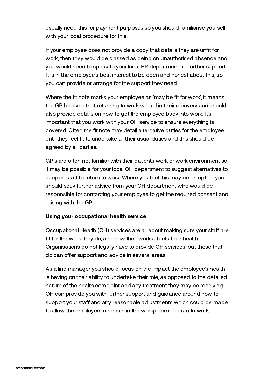usually need this for payment purposes so you should familiarise yourself with your local procedure for this.

If your employee does not provide a copy that details they are unfit for work, then they would be classed as being on unauthorised absence and you would need to speak to your local HR department for further support. It is in the employee's best interest to be open and honest about this, so you can provide or arrange for the support they need.

Where the fit note marks your employee as 'may be fit for work', it means the GP believes that returning to work will aid in their recovery and should also provide details on how to get the employee back into work. It's important that you work with your OH service to ensure everything is covered. Often the fit note may detail alternative duties for the employee until they feel fit to undertake all their usual duties and this should be agreed by all parties.

GP's are often not familiar with their patients work or work environment so it may be possible for your local OH department to suggest alternatives to support staff to return to work. Where you feel this may be an option you should seek further advice from your OH department who would be responsible for contacting your employee to get the required consent and liaising with the GP.

## Using your occupational health service

Occupational Health (OH) services are all about making sure your staff are fit for the work they do, and how their work affects their health. Organisations do not legally have to provide OH services, but those that do can offer support and advice in several areas:

As a line manager you should focus on the impact the employee's health is having on their ability to undertake their role, as opposed to the detailed nature of the health complaint and any treatment they may be receiving. OH can provide you with further support and guidance around how to support your staff and any reasonable adjustments which could be made to allow the employee to remain in the workplace or return to work.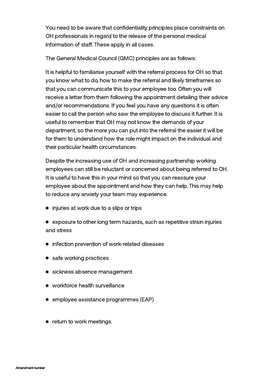You need to be aware that confidentiality principles place constraints on OH professionals in regard to the release of the personal medical information of staff. These apply in all cases.

The General Medical Council (GMC) principles are as follows:

It is helpful to familiarise yourself with the referral process for OH so that you know what to do, how to make the referral and likely timeframes so that you can communicate this to your employee too. Often you will receive a letter from them following the appointment detailing their advice and/or recommendations. If you feel you have any questions it is often easier to call the person who saw the employee to discuss it further. It is useful to remember that OH may not know the demands of your department, so the more you can put into the referral the easier it will be for them to understand how the role might impact on the individual and their particular health circumstances.

Despite the increasing use of OH and increasing partnership working employees can still be reluctant or concerned about being referred to OH. It is useful to have this in your mind so that you can reassure your employee about the appointment and how they can help. This may help to reduce any anxiety your team may experience.

- injuries at work due to a slips or trips
- exposure to other long term hazards, such as repetitive strain injuries and stress
- **•** infection prevention of work-related diseases
- safe working practices
- sickness absence management
- workforce health surveillance
- employee assistance programmes (EAP)
- return to work meetings.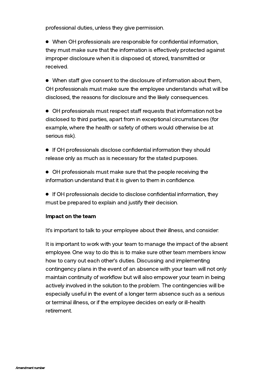professional duties, unless they give permission.

When OH professionals are responsible for confidential information, they must make sure that the information is effectively protected against improper disclosure when it is disposed of, stored, transmitted or received.

 $\bullet$  When staff give consent to the disclosure of information about them, OH professionals must make sure the employee understands what will be disclosed, the reasons for disclosure and the likely consequences.

 $\bullet$  OH professionals must respect staff requests that information not be disclosed to third parties, apart from in exceptional circumstances (for example, where the health or safety of others would otherwise be at serious risk).

- If OH professionals disclose confidential information they should release only as much as is necessary for the stated purposes.
- OH professionals must make sure that the people receiving the information understand that it is given to them in confidence.
- If OH professionals decide to disclose confidential information, they must be prepared to explain and justify their decision.

#### Impact on the team

It's important to talk to your employee about their illness, and consider:

It is important to work with your team to manage the impact of the absent employee. One way to do this is to make sure other team members know how to carry out each other's duties. Discussing and implementing contingency plans in the event of an absence with your team will not only maintain continuity of workflow but will also empower your team in being actively involved in the solution to the problem. The contingencies will be especially useful in the event of a longer term absence such as a serious or terminal illness, or if the employee decides on early or ill-health retirement.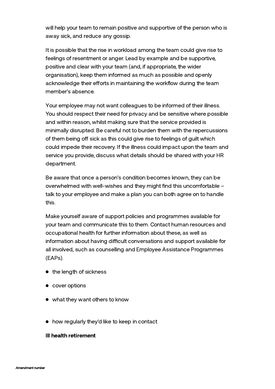will help your team to remain positive and supportive of the person who is away sick, and reduce any gossip.

It is possible that the rise in workload among the team could give rise to feelings of resentment or anger. Lead by example and be supportive, positive and clear with your team (and, if appropriate, the wider organisation), keep them informed as much as possible and openly acknowledge their efforts in maintaining the workflow during the team member's absence.

Your employee may not want colleagues to be informed of their illness. You should respect their need for privacy and be sensitive where possible and within reason, whilst making sure that the service provided is minimally disrupted. Be careful not to burden them with the repercussions of them being off sick as this could give rise to feelings of guilt which could impede their recovery. If the illness could impact upon the team and service you provide, discuss what details should be shared with your HR department.

Be aware that once a person's condition becomes known, they can be overwhelmed with well-wishes and they might find this uncomfortable – talk to your employee and make a plan you can both agree on to handle this.

Make yourself aware of support policies and programmes available for your team and communicate this to them. Contact human resources and occupational health for further information about these, as well as information about having difficult conversations and support available for all involved, such as counselling and Employee Assistance Programmes (EAPs).

- the length of sickness
- cover options
- what they want others to know
- how regularly they'd like to keep in contact

## Ill health retirement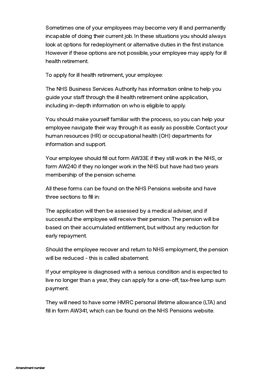Sometimes one of your employees may become very ill and permanently incapable of doing their current job. In these situations you should always look at options for redeployment or alternative duties in the first instance. However if these options are not possible, your employee may apply for ill health retirement.

To apply for ill health retirement, your employee:

The NHS Business Services Authority has information online to help you guide your staff through the ill health retirement online application, including in-depth information on who is eligible to apply.

You should make yourself familiar with the process, so you can help your employee navigate their way through it as easily as possible. Contact your human resources (HR) or occupational health (OH) departments for information and support.

Your employee should fill out form AW33E if they still work in the NHS, or form AW240 if they no longer work in the NHS but have had two years membership of the pension scheme.

All these forms can be found on the NHS [Pensions](https://www.nhsbsa.nhs.uk/nhs-pensions) website and have three sections to fill in:

The application will then be assessed by a medical adviser, and if successful the employee will receive their pension. The pension will be based on their accumulated entitlement, but without any reduction for early repayment.

Should the employee recover and return to NHS employment, the pension will be reduced - this is called abatement.

If your employee is diagnosed with a serious condition and is expected to live no longer than a year, they can apply for a one-off, tax-free lump sum payment.

They will need to have some HMRC personal lifetime allowance (LTA) and fill in form AW341, which can be found on the NHS [Pensions](https://www.nhsbsa.nhs.uk/nhs-pensions) website.